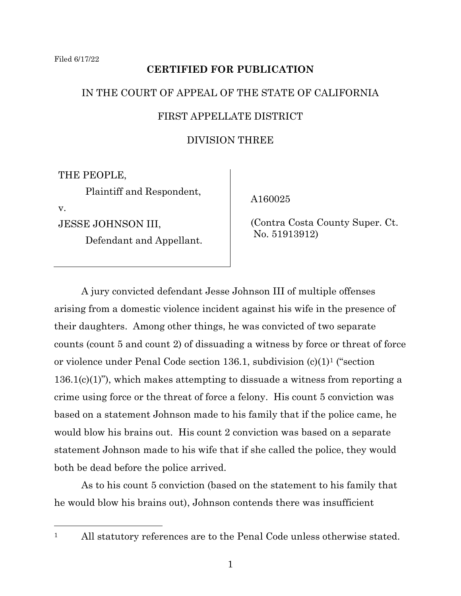# **CERTIFIED FOR PUBLICATION**

# IN THE COURT OF APPEAL OF THE STATE OF CALIFORNIA

# FIRST APPELLATE DISTRICT

# DIVISION THREE

THE PEOPLE,

Plaintiff and Respondent,

v.

JESSE JOHNSON III,

Defendant and Appellant.

A160025

 (Contra Costa County Super. Ct. No. 51913912)

A jury convicted defendant Jesse Johnson III of multiple offenses arising from a domestic violence incident against his wife in the presence of their daughters. Among other things, he was convicted of two separate counts (count 5 and count 2) of dissuading a witness by force or threat of force or violence under Penal Code section 136.1, subdivision (c)(1)<sup>1</sup> ("section 136.1(c)(1)"), which makes attempting to dissuade a witness from reporting a crime using force or the threat of force a felony. His count 5 conviction was based on a statement Johnson made to his family that if the police came, he would blow his brains out. His count 2 conviction was based on a separate statement Johnson made to his wife that if she called the police, they would both be dead before the police arrived.

As to his count 5 conviction (based on the statement to his family that he would blow his brains out), Johnson contends there was insufficient

<sup>&</sup>lt;sup>1</sup> All statutory references are to the Penal Code unless otherwise stated.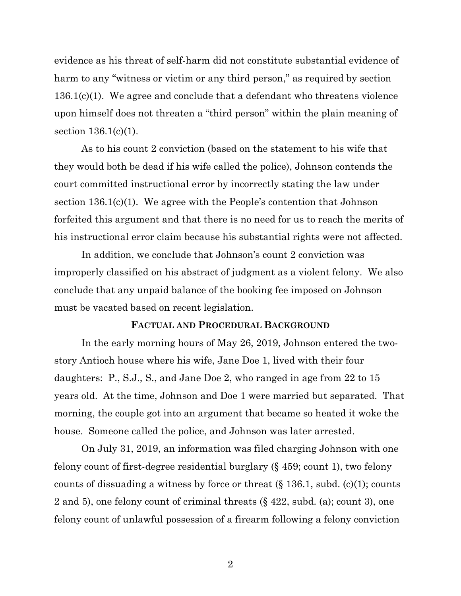evidence as his threat of self-harm did not constitute substantial evidence of harm to any "witness or victim or any third person," as required by section 136.1(c)(1). We agree and conclude that a defendant who threatens violence upon himself does not threaten a "third person" within the plain meaning of section 136.1(c)(1).

As to his count 2 conviction (based on the statement to his wife that they would both be dead if his wife called the police), Johnson contends the court committed instructional error by incorrectly stating the law under section 136.1(c)(1). We agree with the People's contention that Johnson forfeited this argument and that there is no need for us to reach the merits of his instructional error claim because his substantial rights were not affected.

In addition, we conclude that Johnson's count 2 conviction was improperly classified on his abstract of judgment as a violent felony. We also conclude that any unpaid balance of the booking fee imposed on Johnson must be vacated based on recent legislation.

### **FACTUAL AND PROCEDURAL BACKGROUND**

In the early morning hours of May 26, 2019, Johnson entered the twostory Antioch house where his wife, Jane Doe 1, lived with their four daughters: P., S.J., S., and Jane Doe 2, who ranged in age from 22 to 15 years old. At the time, Johnson and Doe 1 were married but separated. That morning, the couple got into an argument that became so heated it woke the house. Someone called the police, and Johnson was later arrested.

On July 31, 2019, an information was filed charging Johnson with one felony count of first-degree residential burglary (§ 459; count 1), two felony counts of dissuading a witness by force or threat  $(\S 136.1, \text{subd. (c)}(1); \text{counts})$ 2 and 5), one felony count of criminal threats (§ 422, subd. (a); count 3), one felony count of unlawful possession of a firearm following a felony conviction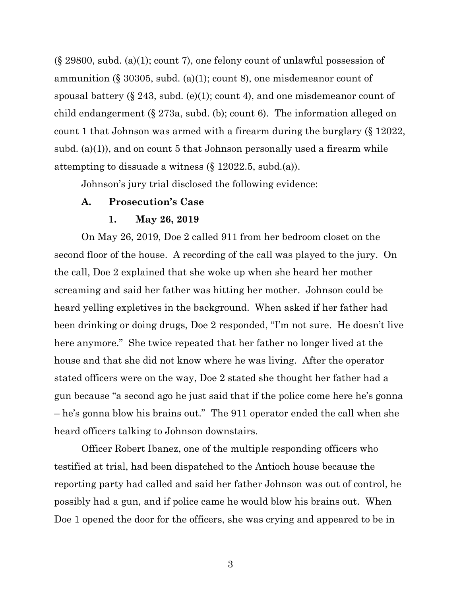(§ 29800, subd. (a)(1); count 7), one felony count of unlawful possession of ammunition (§ 30305, subd. (a)(1); count 8), one misdemeanor count of spousal battery  $(\S 243, \text{subd.}(\mathbf{e})(1); \text{count } 4)$ , and one misdemeanor count of child endangerment (§ 273a, subd. (b); count 6). The information alleged on count 1 that Johnson was armed with a firearm during the burglary (§ 12022, subd. (a)(1)), and on count 5 that Johnson personally used a firearm while attempting to dissuade a witness (§ 12022.5, subd.(a)).

Johnson's jury trial disclosed the following evidence:

### **A. Prosecution's Case**

### **1. May 26, 2019**

On May 26, 2019, Doe 2 called 911 from her bedroom closet on the second floor of the house. A recording of the call was played to the jury. On the call, Doe 2 explained that she woke up when she heard her mother screaming and said her father was hitting her mother. Johnson could be heard yelling expletives in the background. When asked if her father had been drinking or doing drugs, Doe 2 responded, "I'm not sure. He doesn't live here anymore." She twice repeated that her father no longer lived at the house and that she did not know where he was living. After the operator stated officers were on the way, Doe 2 stated she thought her father had a gun because "a second ago he just said that if the police come here he's gonna – he's gonna blow his brains out." The 911 operator ended the call when she heard officers talking to Johnson downstairs.

Officer Robert Ibanez, one of the multiple responding officers who testified at trial, had been dispatched to the Antioch house because the reporting party had called and said her father Johnson was out of control, he possibly had a gun, and if police came he would blow his brains out. When Doe 1 opened the door for the officers, she was crying and appeared to be in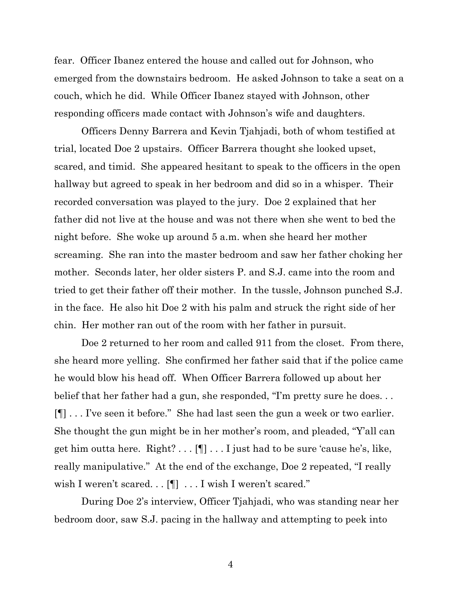fear. Officer Ibanez entered the house and called out for Johnson, who emerged from the downstairs bedroom. He asked Johnson to take a seat on a couch, which he did. While Officer Ibanez stayed with Johnson, other responding officers made contact with Johnson's wife and daughters.

Officers Denny Barrera and Kevin Tjahjadi, both of whom testified at trial, located Doe 2 upstairs. Officer Barrera thought she looked upset, scared, and timid. She appeared hesitant to speak to the officers in the open hallway but agreed to speak in her bedroom and did so in a whisper. Their recorded conversation was played to the jury. Doe 2 explained that her father did not live at the house and was not there when she went to bed the night before. She woke up around 5 a.m. when she heard her mother screaming. She ran into the master bedroom and saw her father choking her mother. Seconds later, her older sisters P. and S.J. came into the room and tried to get their father off their mother. In the tussle, Johnson punched S.J. in the face. He also hit Doe 2 with his palm and struck the right side of her chin. Her mother ran out of the room with her father in pursuit.

Doe 2 returned to her room and called 911 from the closet. From there, she heard more yelling. She confirmed her father said that if the police came he would blow his head off. When Officer Barrera followed up about her belief that her father had a gun, she responded, "I'm pretty sure he does. . . [¶] . . . I've seen it before." She had last seen the gun a week or two earlier. She thought the gun might be in her mother's room, and pleaded, "Y'all can get him outta here. Right? . . . [¶] . . . I just had to be sure 'cause he's, like, really manipulative." At the end of the exchange, Doe 2 repeated, "I really wish I weren't scared. . . [¶] ... I wish I weren't scared."

During Doe 2's interview, Officer Tjahjadi, who was standing near her bedroom door, saw S.J. pacing in the hallway and attempting to peek into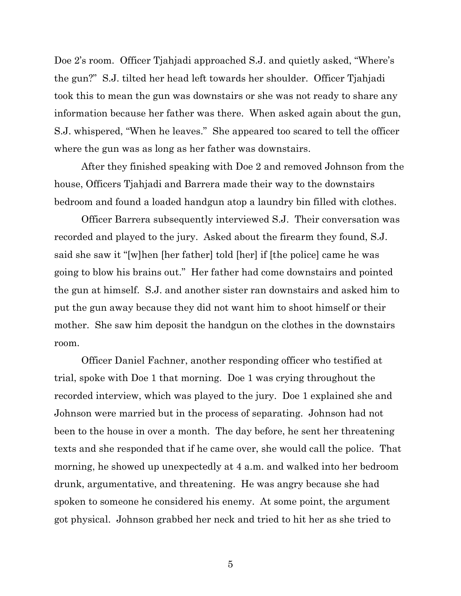Doe 2's room. Officer Tjahjadi approached S.J. and quietly asked, "Where's the gun?" S.J. tilted her head left towards her shoulder. Officer Tjahjadi took this to mean the gun was downstairs or she was not ready to share any information because her father was there. When asked again about the gun, S.J. whispered, "When he leaves." She appeared too scared to tell the officer where the gun was as long as her father was downstairs.

After they finished speaking with Doe 2 and removed Johnson from the house, Officers Tjahjadi and Barrera made their way to the downstairs bedroom and found a loaded handgun atop a laundry bin filled with clothes.

Officer Barrera subsequently interviewed S.J. Their conversation was recorded and played to the jury. Asked about the firearm they found, S.J. said she saw it "[w]hen [her father] told [her] if [the police] came he was going to blow his brains out." Her father had come downstairs and pointed the gun at himself. S.J. and another sister ran downstairs and asked him to put the gun away because they did not want him to shoot himself or their mother. She saw him deposit the handgun on the clothes in the downstairs room.

Officer Daniel Fachner, another responding officer who testified at trial, spoke with Doe 1 that morning. Doe 1 was crying throughout the recorded interview, which was played to the jury. Doe 1 explained she and Johnson were married but in the process of separating. Johnson had not been to the house in over a month. The day before, he sent her threatening texts and she responded that if he came over, she would call the police. That morning, he showed up unexpectedly at 4 a.m. and walked into her bedroom drunk, argumentative, and threatening. He was angry because she had spoken to someone he considered his enemy. At some point, the argument got physical. Johnson grabbed her neck and tried to hit her as she tried to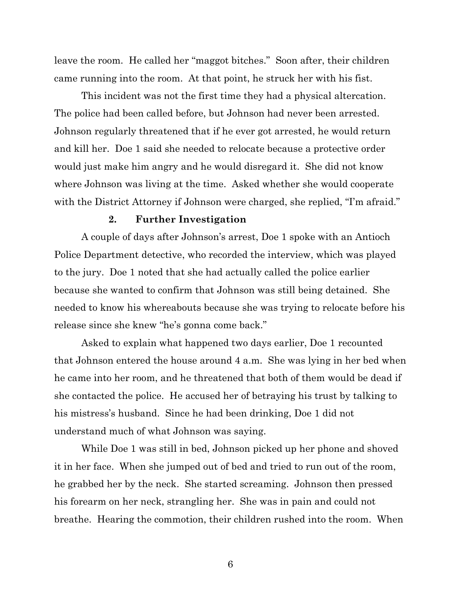leave the room. He called her "maggot bitches." Soon after, their children came running into the room. At that point, he struck her with his fist.

This incident was not the first time they had a physical altercation. The police had been called before, but Johnson had never been arrested. Johnson regularly threatened that if he ever got arrested, he would return and kill her. Doe 1 said she needed to relocate because a protective order would just make him angry and he would disregard it. She did not know where Johnson was living at the time. Asked whether she would cooperate with the District Attorney if Johnson were charged, she replied, "I'm afraid."

### **2. Further Investigation**

A couple of days after Johnson's arrest, Doe 1 spoke with an Antioch Police Department detective, who recorded the interview, which was played to the jury. Doe 1 noted that she had actually called the police earlier because she wanted to confirm that Johnson was still being detained. She needed to know his whereabouts because she was trying to relocate before his release since she knew "he's gonna come back."

Asked to explain what happened two days earlier, Doe 1 recounted that Johnson entered the house around 4 a.m. She was lying in her bed when he came into her room, and he threatened that both of them would be dead if she contacted the police. He accused her of betraying his trust by talking to his mistress's husband. Since he had been drinking, Doe 1 did not understand much of what Johnson was saying.

While Doe 1 was still in bed, Johnson picked up her phone and shoved it in her face. When she jumped out of bed and tried to run out of the room, he grabbed her by the neck. She started screaming. Johnson then pressed his forearm on her neck, strangling her. She was in pain and could not breathe. Hearing the commotion, their children rushed into the room. When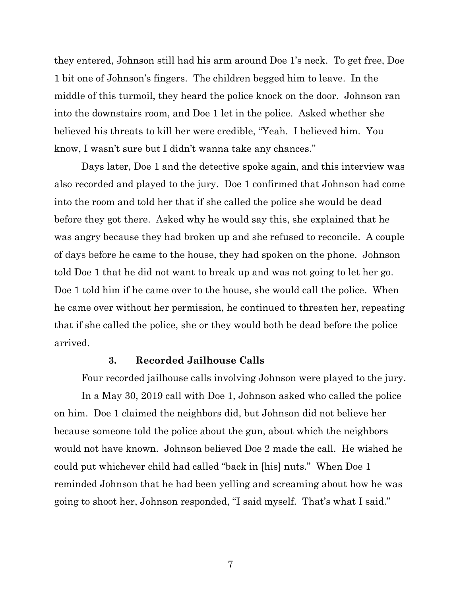they entered, Johnson still had his arm around Doe 1's neck. To get free, Doe 1 bit one of Johnson's fingers. The children begged him to leave. In the middle of this turmoil, they heard the police knock on the door. Johnson ran into the downstairs room, and Doe 1 let in the police. Asked whether she believed his threats to kill her were credible, "Yeah. I believed him. You know, I wasn't sure but I didn't wanna take any chances."

Days later, Doe 1 and the detective spoke again, and this interview was also recorded and played to the jury. Doe 1 confirmed that Johnson had come into the room and told her that if she called the police she would be dead before they got there. Asked why he would say this, she explained that he was angry because they had broken up and she refused to reconcile. A couple of days before he came to the house, they had spoken on the phone. Johnson told Doe 1 that he did not want to break up and was not going to let her go. Doe 1 told him if he came over to the house, she would call the police. When he came over without her permission, he continued to threaten her, repeating that if she called the police, she or they would both be dead before the police arrived.

### **3. Recorded Jailhouse Calls**

Four recorded jailhouse calls involving Johnson were played to the jury.

In a May 30, 2019 call with Doe 1, Johnson asked who called the police on him. Doe 1 claimed the neighbors did, but Johnson did not believe her because someone told the police about the gun, about which the neighbors would not have known. Johnson believed Doe 2 made the call. He wished he could put whichever child had called "back in [his] nuts." When Doe 1 reminded Johnson that he had been yelling and screaming about how he was going to shoot her, Johnson responded, "I said myself. That's what I said."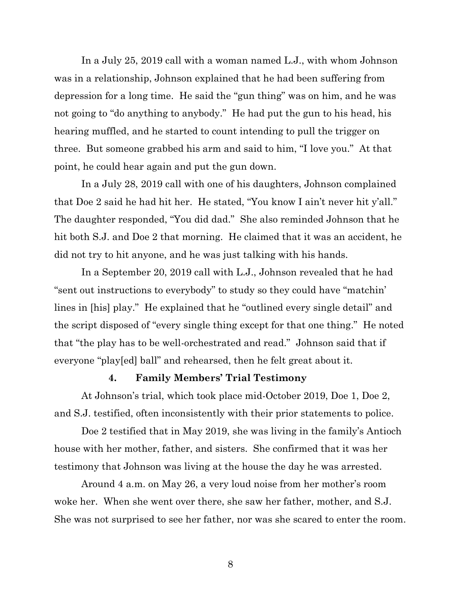In a July 25, 2019 call with a woman named L.J., with whom Johnson was in a relationship, Johnson explained that he had been suffering from depression for a long time. He said the "gun thing" was on him, and he was not going to "do anything to anybody." He had put the gun to his head, his hearing muffled, and he started to count intending to pull the trigger on three. But someone grabbed his arm and said to him, "I love you." At that point, he could hear again and put the gun down.

In a July 28, 2019 call with one of his daughters, Johnson complained that Doe 2 said he had hit her. He stated, "You know I ain't never hit y'all." The daughter responded, "You did dad." She also reminded Johnson that he hit both S.J. and Doe 2 that morning. He claimed that it was an accident, he did not try to hit anyone, and he was just talking with his hands.

In a September 20, 2019 call with L.J., Johnson revealed that he had "sent out instructions to everybody" to study so they could have "matchin' lines in [his] play." He explained that he "outlined every single detail" and the script disposed of "every single thing except for that one thing." He noted that "the play has to be well-orchestrated and read." Johnson said that if everyone "play[ed] ball" and rehearsed, then he felt great about it.

## **4. Family Members' Trial Testimony**

At Johnson's trial, which took place mid-October 2019, Doe 1, Doe 2, and S.J. testified, often inconsistently with their prior statements to police.

Doe 2 testified that in May 2019, she was living in the family's Antioch house with her mother, father, and sisters. She confirmed that it was her testimony that Johnson was living at the house the day he was arrested.

Around 4 a.m. on May 26, a very loud noise from her mother's room woke her. When she went over there, she saw her father, mother, and S.J. She was not surprised to see her father, nor was she scared to enter the room.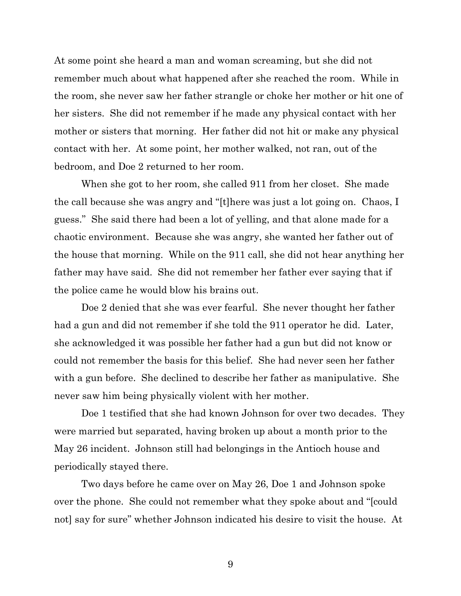At some point she heard a man and woman screaming, but she did not remember much about what happened after she reached the room. While in the room, she never saw her father strangle or choke her mother or hit one of her sisters. She did not remember if he made any physical contact with her mother or sisters that morning. Her father did not hit or make any physical contact with her. At some point, her mother walked, not ran, out of the bedroom, and Doe 2 returned to her room.

When she got to her room, she called 911 from her closet. She made the call because she was angry and "[t]here was just a lot going on. Chaos, I guess." She said there had been a lot of yelling, and that alone made for a chaotic environment. Because she was angry, she wanted her father out of the house that morning. While on the 911 call, she did not hear anything her father may have said. She did not remember her father ever saying that if the police came he would blow his brains out.

Doe 2 denied that she was ever fearful. She never thought her father had a gun and did not remember if she told the 911 operator he did. Later, she acknowledged it was possible her father had a gun but did not know or could not remember the basis for this belief. She had never seen her father with a gun before. She declined to describe her father as manipulative. She never saw him being physically violent with her mother.

Doe 1 testified that she had known Johnson for over two decades. They were married but separated, having broken up about a month prior to the May 26 incident. Johnson still had belongings in the Antioch house and periodically stayed there.

Two days before he came over on May 26, Doe 1 and Johnson spoke over the phone. She could not remember what they spoke about and "[could not] say for sure" whether Johnson indicated his desire to visit the house. At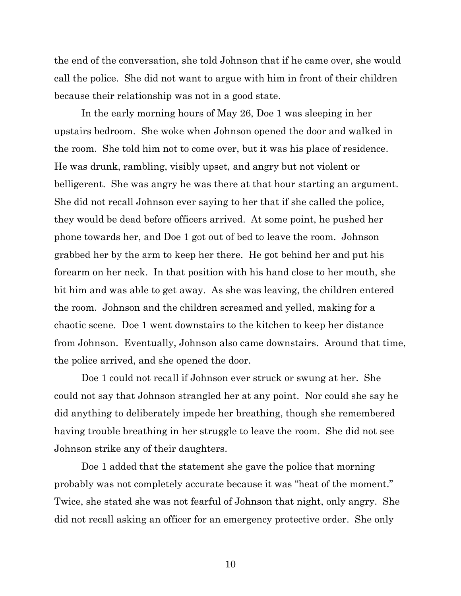the end of the conversation, she told Johnson that if he came over, she would call the police. She did not want to argue with him in front of their children because their relationship was not in a good state.

In the early morning hours of May 26, Doe 1 was sleeping in her upstairs bedroom. She woke when Johnson opened the door and walked in the room. She told him not to come over, but it was his place of residence. He was drunk, rambling, visibly upset, and angry but not violent or belligerent. She was angry he was there at that hour starting an argument. She did not recall Johnson ever saying to her that if she called the police, they would be dead before officers arrived. At some point, he pushed her phone towards her, and Doe 1 got out of bed to leave the room. Johnson grabbed her by the arm to keep her there. He got behind her and put his forearm on her neck. In that position with his hand close to her mouth, she bit him and was able to get away. As she was leaving, the children entered the room. Johnson and the children screamed and yelled, making for a chaotic scene. Doe 1 went downstairs to the kitchen to keep her distance from Johnson. Eventually, Johnson also came downstairs. Around that time, the police arrived, and she opened the door.

Doe 1 could not recall if Johnson ever struck or swung at her. She could not say that Johnson strangled her at any point. Nor could she say he did anything to deliberately impede her breathing, though she remembered having trouble breathing in her struggle to leave the room. She did not see Johnson strike any of their daughters.

Doe 1 added that the statement she gave the police that morning probably was not completely accurate because it was "heat of the moment." Twice, she stated she was not fearful of Johnson that night, only angry. She did not recall asking an officer for an emergency protective order. She only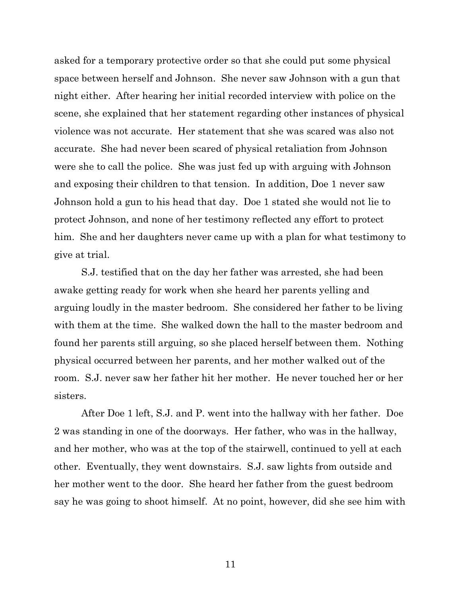asked for a temporary protective order so that she could put some physical space between herself and Johnson. She never saw Johnson with a gun that night either. After hearing her initial recorded interview with police on the scene, she explained that her statement regarding other instances of physical violence was not accurate. Her statement that she was scared was also not accurate. She had never been scared of physical retaliation from Johnson were she to call the police. She was just fed up with arguing with Johnson and exposing their children to that tension. In addition, Doe 1 never saw Johnson hold a gun to his head that day. Doe 1 stated she would not lie to protect Johnson, and none of her testimony reflected any effort to protect him. She and her daughters never came up with a plan for what testimony to give at trial.

S.J. testified that on the day her father was arrested, she had been awake getting ready for work when she heard her parents yelling and arguing loudly in the master bedroom. She considered her father to be living with them at the time. She walked down the hall to the master bedroom and found her parents still arguing, so she placed herself between them. Nothing physical occurred between her parents, and her mother walked out of the room. S.J. never saw her father hit her mother. He never touched her or her sisters.

After Doe 1 left, S.J. and P. went into the hallway with her father. Doe 2 was standing in one of the doorways. Her father, who was in the hallway, and her mother, who was at the top of the stairwell, continued to yell at each other. Eventually, they went downstairs. S.J. saw lights from outside and her mother went to the door. She heard her father from the guest bedroom say he was going to shoot himself. At no point, however, did she see him with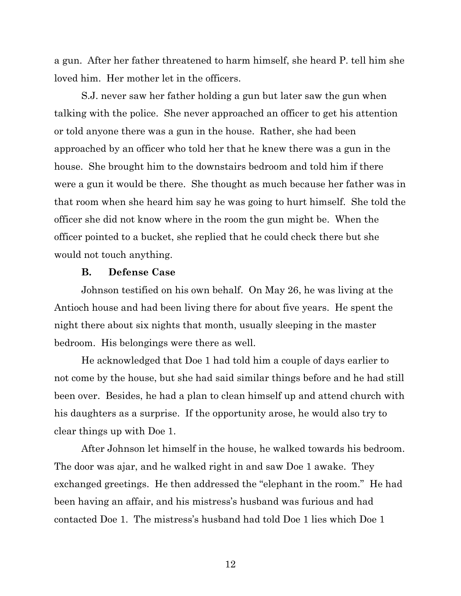a gun. After her father threatened to harm himself, she heard P. tell him she loved him. Her mother let in the officers.

S.J. never saw her father holding a gun but later saw the gun when talking with the police. She never approached an officer to get his attention or told anyone there was a gun in the house. Rather, she had been approached by an officer who told her that he knew there was a gun in the house. She brought him to the downstairs bedroom and told him if there were a gun it would be there. She thought as much because her father was in that room when she heard him say he was going to hurt himself. She told the officer she did not know where in the room the gun might be. When the officer pointed to a bucket, she replied that he could check there but she would not touch anything.

## **B. Defense Case**

Johnson testified on his own behalf. On May 26, he was living at the Antioch house and had been living there for about five years. He spent the night there about six nights that month, usually sleeping in the master bedroom. His belongings were there as well.

He acknowledged that Doe 1 had told him a couple of days earlier to not come by the house, but she had said similar things before and he had still been over. Besides, he had a plan to clean himself up and attend church with his daughters as a surprise. If the opportunity arose, he would also try to clear things up with Doe 1.

After Johnson let himself in the house, he walked towards his bedroom. The door was ajar, and he walked right in and saw Doe 1 awake. They exchanged greetings. He then addressed the "elephant in the room." He had been having an affair, and his mistress's husband was furious and had contacted Doe 1. The mistress's husband had told Doe 1 lies which Doe 1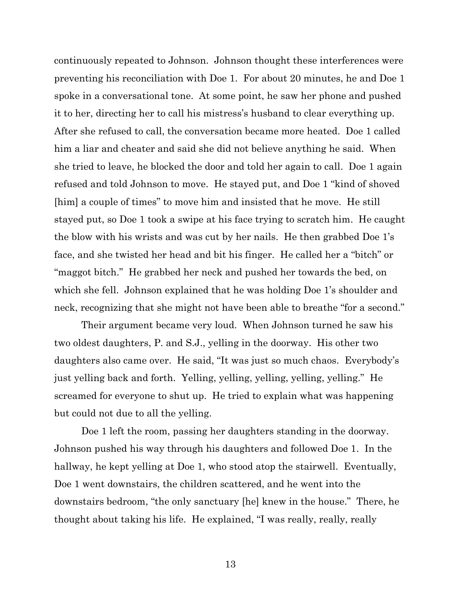continuously repeated to Johnson. Johnson thought these interferences were preventing his reconciliation with Doe 1. For about 20 minutes, he and Doe 1 spoke in a conversational tone. At some point, he saw her phone and pushed it to her, directing her to call his mistress's husband to clear everything up. After she refused to call, the conversation became more heated. Doe 1 called him a liar and cheater and said she did not believe anything he said. When she tried to leave, he blocked the door and told her again to call. Doe 1 again refused and told Johnson to move. He stayed put, and Doe 1 "kind of shoved [him] a couple of times" to move him and insisted that he move. He still stayed put, so Doe 1 took a swipe at his face trying to scratch him. He caught the blow with his wrists and was cut by her nails. He then grabbed Doe 1's face, and she twisted her head and bit his finger. He called her a "bitch" or "maggot bitch." He grabbed her neck and pushed her towards the bed, on which she fell. Johnson explained that he was holding Doe 1's shoulder and neck, recognizing that she might not have been able to breathe "for a second."

Their argument became very loud. When Johnson turned he saw his two oldest daughters, P. and S.J., yelling in the doorway. His other two daughters also came over. He said, "It was just so much chaos. Everybody's just yelling back and forth. Yelling, yelling, yelling, yelling, yelling." He screamed for everyone to shut up. He tried to explain what was happening but could not due to all the yelling.

Doe 1 left the room, passing her daughters standing in the doorway. Johnson pushed his way through his daughters and followed Doe 1. In the hallway, he kept yelling at Doe 1, who stood atop the stairwell. Eventually, Doe 1 went downstairs, the children scattered, and he went into the downstairs bedroom, "the only sanctuary [he] knew in the house." There, he thought about taking his life. He explained, "I was really, really, really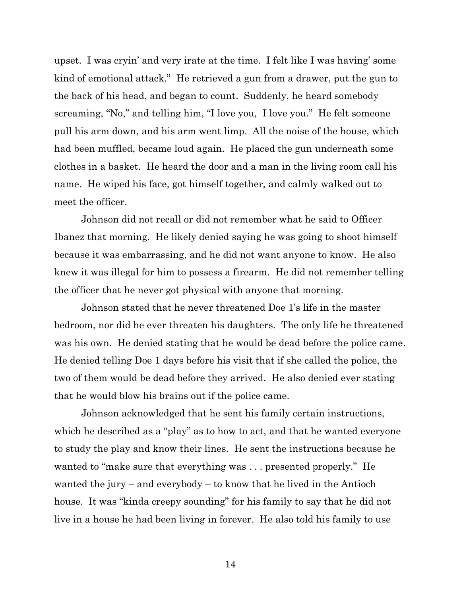upset. I was cryin' and very irate at the time. I felt like I was having' some kind of emotional attack." He retrieved a gun from a drawer, put the gun to the back of his head, and began to count. Suddenly, he heard somebody screaming, "No," and telling him, "I love you, I love you." He felt someone pull his arm down, and his arm went limp. All the noise of the house, which had been muffled, became loud again. He placed the gun underneath some clothes in a basket. He heard the door and a man in the living room call his name. He wiped his face, got himself together, and calmly walked out to meet the officer.

Johnson did not recall or did not remember what he said to Officer Ibanez that morning. He likely denied saying he was going to shoot himself because it was embarrassing, and he did not want anyone to know. He also knew it was illegal for him to possess a firearm. He did not remember telling the officer that he never got physical with anyone that morning.

Johnson stated that he never threatened Doe 1's life in the master bedroom, nor did he ever threaten his daughters. The only life he threatened was his own. He denied stating that he would be dead before the police came. He denied telling Doe 1 days before his visit that if she called the police, the two of them would be dead before they arrived. He also denied ever stating that he would blow his brains out if the police came.

Johnson acknowledged that he sent his family certain instructions, which he described as a "play" as to how to act, and that he wanted everyone to study the play and know their lines. He sent the instructions because he wanted to "make sure that everything was . . . presented properly." He wanted the jury – and everybody – to know that he lived in the Antioch house. It was "kinda creepy sounding" for his family to say that he did not live in a house he had been living in forever. He also told his family to use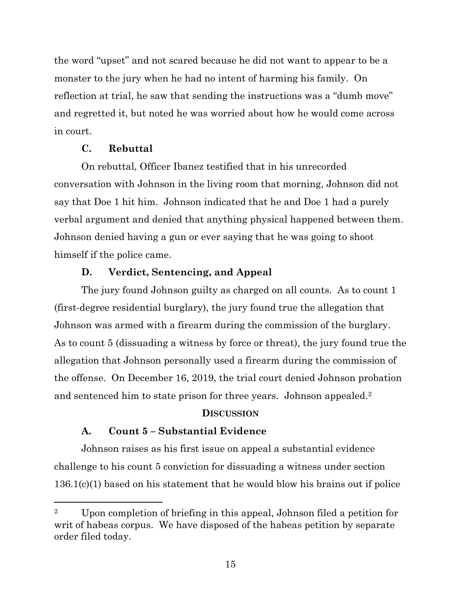the word "upset" and not scared because he did not want to appear to be a monster to the jury when he had no intent of harming his family. On reflection at trial, he saw that sending the instructions was a "dumb move" and regretted it, but noted he was worried about how he would come across in court.

# **C. Rebuttal**

On rebuttal, Officer Ibanez testified that in his unrecorded conversation with Johnson in the living room that morning, Johnson did not say that Doe 1 hit him. Johnson indicated that he and Doe 1 had a purely verbal argument and denied that anything physical happened between them. Johnson denied having a gun or ever saying that he was going to shoot himself if the police came.

# **D. Verdict, Sentencing, and Appeal**

The jury found Johnson guilty as charged on all counts. As to count 1 (first-degree residential burglary), the jury found true the allegation that Johnson was armed with a firearm during the commission of the burglary. As to count 5 (dissuading a witness by force or threat), the jury found true the allegation that Johnson personally used a firearm during the commission of the offense. On December 16, 2019, the trial court denied Johnson probation and sentenced him to state prison for three years. Johnson appealed. 2

# **DISCUSSION**

# **A. Count 5 – Substantial Evidence**

Johnson raises as his first issue on appeal a substantial evidence challenge to his count 5 conviction for dissuading a witness under section 136.1(c)(1) based on his statement that he would blow his brains out if police

<sup>2</sup> Upon completion of briefing in this appeal, Johnson filed a petition for writ of habeas corpus. We have disposed of the habeas petition by separate order filed today.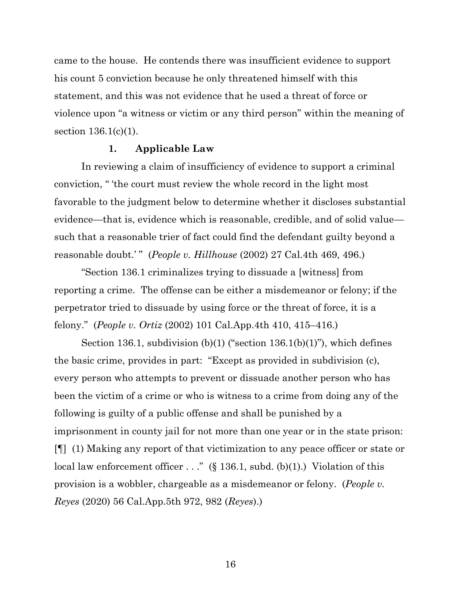came to the house. He contends there was insufficient evidence to support his count 5 conviction because he only threatened himself with this statement, and this was not evidence that he used a threat of force or violence upon "a witness or victim or any third person" within the meaning of section 136.1(c)(1).

## **1. Applicable Law**

In reviewing a claim of insufficiency of evidence to support a criminal conviction, " 'the court must review the whole record in the light most favorable to the judgment below to determine whether it discloses substantial evidence—that is, evidence which is reasonable, credible, and of solid value such that a reasonable trier of fact could find the defendant guilty beyond a reasonable doubt.' " (*People v. Hillhouse* (2002) 27 Cal.4th 469, 496.)

"Section 136.1 criminalizes trying to dissuade a [witness] from reporting a crime. The offense can be either a misdemeanor or felony; if the perpetrator tried to dissuade by using force or the threat of force, it is a felony." (*People v. Ortiz* (2002) 101 Cal.App.4th 410, 415–416.)

Section 136.1, subdivision  $(b)(1)$  ("section 136.1 $(b)(1)$ "), which defines the basic crime, provides in part: "Except as provided in subdivision (c), every person who attempts to prevent or dissuade another person who has been the victim of a crime or who is witness to a crime from doing any of the following is guilty of a public offense and shall be punished by a imprisonment in county jail for not more than one year or in the state prison: [¶] (1) Making any report of that victimization to any peace officer or state or local law enforcement officer  $\dots$ ." (§ 136.1, subd. (b)(1).) Violation of this provision is a wobbler, chargeable as a misdemeanor or felony. (*People v. Reyes* (2020) 56 Cal.App.5th 972, 982 (*Reyes*).)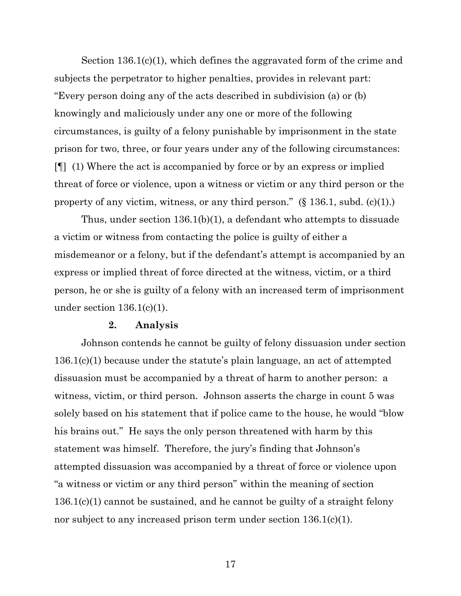Section 136.1(c)(1), which defines the aggravated form of the crime and subjects the perpetrator to higher penalties, provides in relevant part: "Every person doing any of the acts described in subdivision (a) or (b) knowingly and maliciously under any one or more of the following circumstances, is guilty of a felony punishable by imprisonment in the state prison for two, three, or four years under any of the following circumstances: [¶] (1) Where the act is accompanied by force or by an express or implied threat of force or violence, upon a witness or victim or any third person or the property of any victim, witness, or any third person." (§ 136.1, subd. (c)(1).)

Thus, under section 136.1(b)(1), a defendant who attempts to dissuade a victim or witness from contacting the police is guilty of either a misdemeanor or a felony, but if the defendant's attempt is accompanied by an express or implied threat of force directed at the witness, victim, or a third person, he or she is guilty of a felony with an increased term of imprisonment under section  $136.1(c)(1)$ .

### **2. Analysis**

Johnson contends he cannot be guilty of felony dissuasion under section 136.1(c)(1) because under the statute's plain language, an act of attempted dissuasion must be accompanied by a threat of harm to another person: a witness, victim, or third person. Johnson asserts the charge in count 5 was solely based on his statement that if police came to the house, he would "blow his brains out." He says the only person threatened with harm by this statement was himself. Therefore, the jury's finding that Johnson's attempted dissuasion was accompanied by a threat of force or violence upon "a witness or victim or any third person" within the meaning of section 136.1(c)(1) cannot be sustained, and he cannot be guilty of a straight felony nor subject to any increased prison term under section 136.1(c)(1).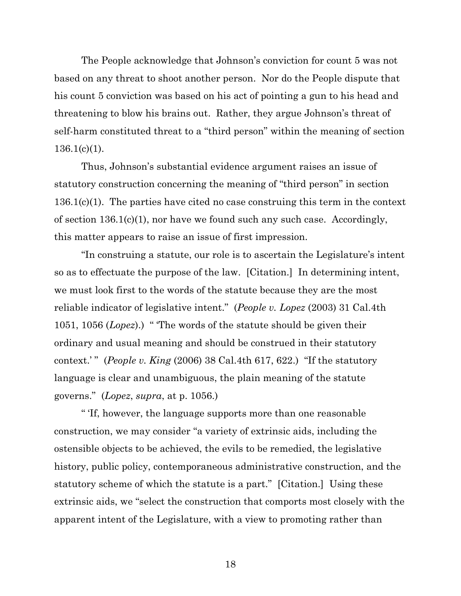The People acknowledge that Johnson's conviction for count 5 was not based on any threat to shoot another person. Nor do the People dispute that his count 5 conviction was based on his act of pointing a gun to his head and threatening to blow his brains out. Rather, they argue Johnson's threat of self-harm constituted threat to a "third person" within the meaning of section  $136.1(c)(1)$ .

Thus, Johnson's substantial evidence argument raises an issue of statutory construction concerning the meaning of "third person" in section 136.1(c)(1). The parties have cited no case construing this term in the context of section  $136.1(c)(1)$ , nor have we found such any such case. Accordingly, this matter appears to raise an issue of first impression.

"In construing a statute, our role is to ascertain the Legislature's intent so as to effectuate the purpose of the law. [Citation.] In determining intent, we must look first to the words of the statute because they are the most reliable indicator of legislative intent." (*People v. Lopez* (2003) 31 Cal.4th 1051, 1056 (*Lopez*).) " 'The words of the statute should be given their ordinary and usual meaning and should be construed in their statutory context.' " (*People v. King* (2006) 38 Cal.4th 617, 622.) "If the statutory language is clear and unambiguous, the plain meaning of the statute governs." (*Lopez*, *supra*, at p. 1056.)

" 'If, however, the language supports more than one reasonable construction, we may consider "a variety of extrinsic aids, including the ostensible objects to be achieved, the evils to be remedied, the legislative history, public policy, contemporaneous administrative construction, and the statutory scheme of which the statute is a part." [Citation.] Using these extrinsic aids, we "select the construction that comports most closely with the apparent intent of the Legislature, with a view to promoting rather than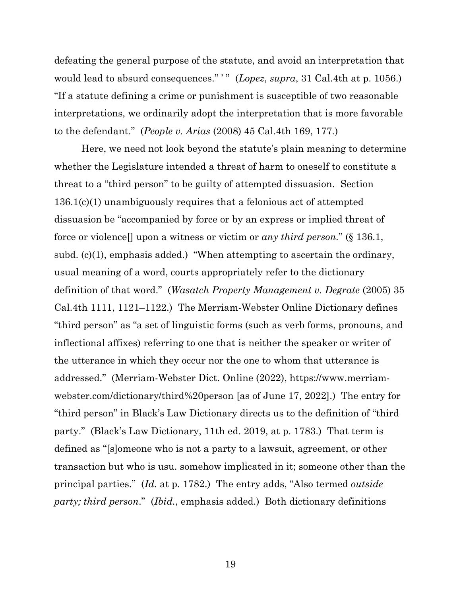defeating the general purpose of the statute, and avoid an interpretation that would lead to absurd consequences." " (*Lopez*, *supra*, 31 Cal.4th at p. 1056.) "If a statute defining a crime or punishment is susceptible of two reasonable interpretations, we ordinarily adopt the interpretation that is more favorable to the defendant." (*People v. Arias* (2008) 45 Cal.4th 169, 177.)

Here, we need not look beyond the statute's plain meaning to determine whether the Legislature intended a threat of harm to oneself to constitute a threat to a "third person" to be guilty of attempted dissuasion. Section 136.1(c)(1) unambiguously requires that a felonious act of attempted dissuasion be "accompanied by force or by an express or implied threat of force or violence[] upon a witness or victim or *any third person.*" (§ 136.1, subd. (c)(1), emphasis added.) "When attempting to ascertain the ordinary, usual meaning of a word, courts appropriately refer to the dictionary definition of that word." (*Wasatch Property Management v. Degrate* (2005) 35 Cal.4th 1111, 1121–1122.) The Merriam-Webster Online Dictionary defines "third person" as "a set of linguistic forms (such as verb forms, pronouns, and inflectional affixes) referring to one that is neither the speaker or writer of the utterance in which they occur nor the one to whom that utterance is addressed." (Merriam-Webster Dict. Online (2022), [https://www.merriam](https://www.merriam-webster.com/dictionary/third%20person)[webster.com/dictionary/third%20person](https://www.merriam-webster.com/dictionary/third%20person) [as of June 17, 2022].) The entry for "third person" in Black's Law Dictionary directs us to the definition of "third party." (Black's Law Dictionary, 11th ed. 2019, at p. 1783.) That term is defined as "[s]omeone who is not a party to a lawsuit, agreement, or other transaction but who is usu. somehow implicated in it; someone other than the principal parties." (*Id.* at p. 1782.) The entry adds, "Also termed *outside party; third person*." (*Ibid.*, emphasis added.) Both dictionary definitions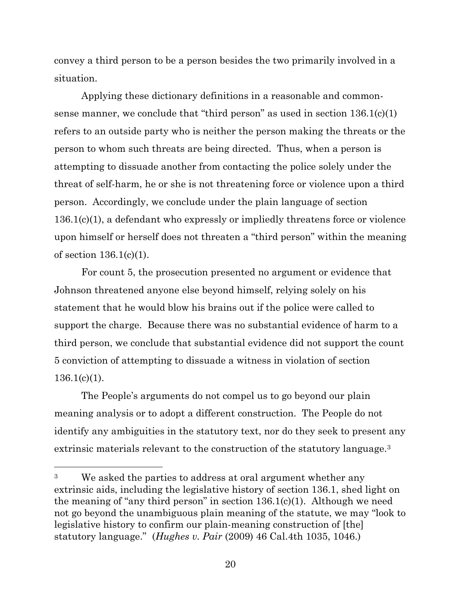convey a third person to be a person besides the two primarily involved in a situation.

Applying these dictionary definitions in a reasonable and commonsense manner, we conclude that "third person" as used in section  $136.1(c)(1)$ refers to an outside party who is neither the person making the threats or the person to whom such threats are being directed. Thus, when a person is attempting to dissuade another from contacting the police solely under the threat of self-harm, he or she is not threatening force or violence upon a third person. Accordingly, we conclude under the plain language of section 136.1(c)(1), a defendant who expressly or impliedly threatens force or violence upon himself or herself does not threaten a "third person" within the meaning of section 136.1(c)(1).

For count 5, the prosecution presented no argument or evidence that Johnson threatened anyone else beyond himself, relying solely on his statement that he would blow his brains out if the police were called to support the charge. Because there was no substantial evidence of harm to a third person, we conclude that substantial evidence did not support the count 5 conviction of attempting to dissuade a witness in violation of section  $136.1(c)(1)$ .

The People's arguments do not compel us to go beyond our plain meaning analysis or to adopt a different construction. The People do not identify any ambiguities in the statutory text, nor do they seek to present any extrinsic materials relevant to the construction of the statutory language.<sup>3</sup>

<sup>&</sup>lt;sup>3</sup> We asked the parties to address at oral argument whether any extrinsic aids, including the legislative history of section 136.1, shed light on the meaning of "any third person" in section  $136.1(c)(1)$ . Although we need not go beyond the unambiguous plain meaning of the statute, we may "look to legislative history to confirm our plain-meaning construction of [the] statutory language." (*Hughes v. Pair* (2009) 46 Cal.4th 1035, 1046.)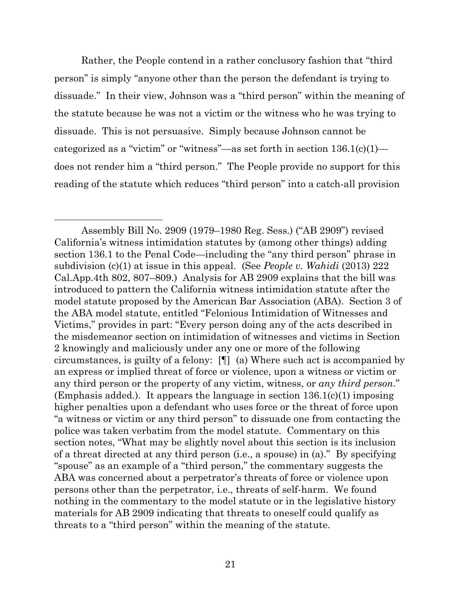Rather, the People contend in a rather conclusory fashion that "third person" is simply "anyone other than the person the defendant is trying to dissuade." In their view, Johnson was a "third person" within the meaning of the statute because he was not a victim or the witness who he was trying to dissuade. This is not persuasive. Simply because Johnson cannot be categorized as a "victim" or "witness"—as set forth in section  $136.1(c)(1)$  does not render him a "third person." The People provide no support for this reading of the statute which reduces "third person" into a catch-all provision

Assembly Bill No. 2909 (1979–1980 Reg. Sess.) ("AB 2909") revised California's witness intimidation statutes by (among other things) adding section 136.1 to the Penal Code—including the "any third person" phrase in subdivision (c)(1) at issue in this appeal. (See *People v. Wahidi* (2013) 222 Cal.App.4th 802, 807–809.) Analysis for AB 2909 explains that the bill was introduced to pattern the California witness intimidation statute after the model statute proposed by the American Bar Association (ABA). Section 3 of the ABA model statute, entitled "Felonious Intimidation of Witnesses and Victims," provides in part: "Every person doing any of the acts described in the misdemeanor section on intimidation of witnesses and victims in Section 2 knowingly and maliciously under any one or more of the following circumstances, is guilty of a felony: [¶] (a) Where such act is accompanied by an express or implied threat of force or violence, upon a witness or victim or any third person or the property of any victim, witness, or *any third person*." (Emphasis added.). It appears the language in section  $136.1(c)(1)$  imposing higher penalties upon a defendant who uses force or the threat of force upon "a witness or victim or any third person" to dissuade one from contacting the police was taken verbatim from the model statute. Commentary on this section notes, "What may be slightly novel about this section is its inclusion of a threat directed at any third person (i.e., a spouse) in (a)." By specifying "spouse" as an example of a "third person," the commentary suggests the ABA was concerned about a perpetrator's threats of force or violence upon persons other than the perpetrator, i.e., threats of self-harm. We found nothing in the commentary to the model statute or in the legislative history materials for AB 2909 indicating that threats to oneself could qualify as threats to a "third person" within the meaning of the statute.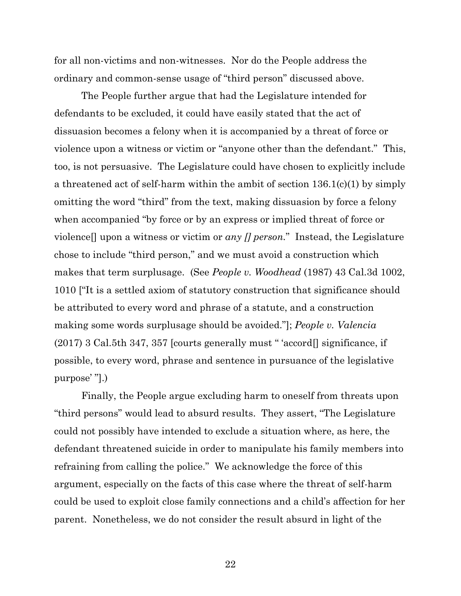for all non-victims and non-witnesses. Nor do the People address the ordinary and common-sense usage of "third person" discussed above.

The People further argue that had the Legislature intended for defendants to be excluded, it could have easily stated that the act of dissuasion becomes a felony when it is accompanied by a threat of force or violence upon a witness or victim or "anyone other than the defendant." This, too, is not persuasive. The Legislature could have chosen to explicitly include a threatened act of self-harm within the ambit of section 136.1(c)(1) by simply omitting the word "third" from the text, making dissuasion by force a felony when accompanied "by force or by an express or implied threat of force or violence[] upon a witness or victim or *any [] person.*" Instead, the Legislature chose to include "third person," and we must avoid a construction which makes that term surplusage. (See *People v. Woodhead* (1987) 43 Cal.3d 1002, 1010 ["It is a settled axiom of statutory construction that significance should be attributed to every word and phrase of a statute, and a construction making some words surplusage should be avoided."]; *People v. Valencia*  (2017) 3 Cal.5th 347, 357 [courts generally must " 'accord[] significance, if possible, to every word, phrase and sentence in pursuance of the legislative purpose' "].)

Finally, the People argue excluding harm to oneself from threats upon "third persons" would lead to absurd results. They assert, "The Legislature could not possibly have intended to exclude a situation where, as here, the defendant threatened suicide in order to manipulate his family members into refraining from calling the police." We acknowledge the force of this argument, especially on the facts of this case where the threat of self-harm could be used to exploit close family connections and a child's affection for her parent. Nonetheless, we do not consider the result absurd in light of the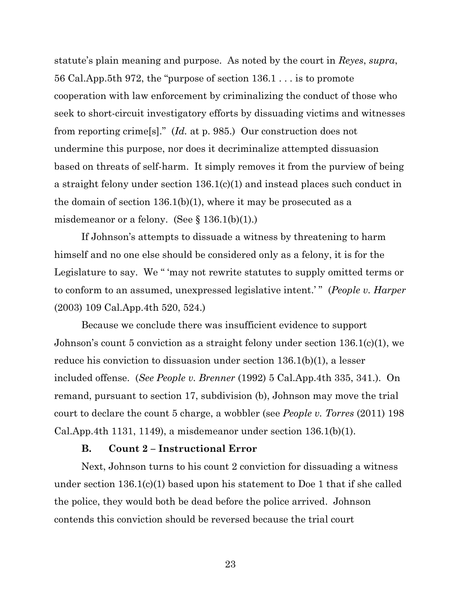statute's plain meaning and purpose. As noted by the court in *Reyes*, *supra*, 56 Cal.App.5th 972, the "purpose of section 136.1 . . . is to promote cooperation with law enforcement by criminalizing the conduct of those who seek to short-circuit investigatory efforts by dissuading victims and witnesses from reporting crime[s]." (*Id.* at p. 985.) Our construction does not undermine this purpose, nor does it decriminalize attempted dissuasion based on threats of self-harm. It simply removes it from the purview of being a straight felony under section 136.1(c)(1) and instead places such conduct in the domain of section 136.1(b)(1), where it may be prosecuted as a misdemeanor or a felony. (See  $\S 136.1(b)(1)$ .)

If Johnson's attempts to dissuade a witness by threatening to harm himself and no one else should be considered only as a felony, it is for the Legislature to say. We " 'may not rewrite statutes to supply omitted terms or to conform to an assumed, unexpressed legislative intent.' " (*People v. Harper* (2003) 109 Cal.App.4th 520, 524.)

Because we conclude there was insufficient evidence to support Johnson's count 5 conviction as a straight felony under section 136.1(c)(1), we reduce his conviction to dissuasion under section 136.1(b)(1), a lesser included offense. (*See People v. Brenner* (1992) 5 Cal.App.4th 335, 341.). On remand, pursuant to section 17, subdivision (b), Johnson may move the trial court to declare the count 5 charge, a wobbler (see *People v. Torres* (2011) 198 Cal.App.4th 1131, 1149), a misdemeanor under section  $136.1(b)(1)$ .

### **B. Count 2 – Instructional Error**

Next, Johnson turns to his count 2 conviction for dissuading a witness under section 136.1(c)(1) based upon his statement to Doe 1 that if she called the police, they would both be dead before the police arrived. Johnson contends this conviction should be reversed because the trial court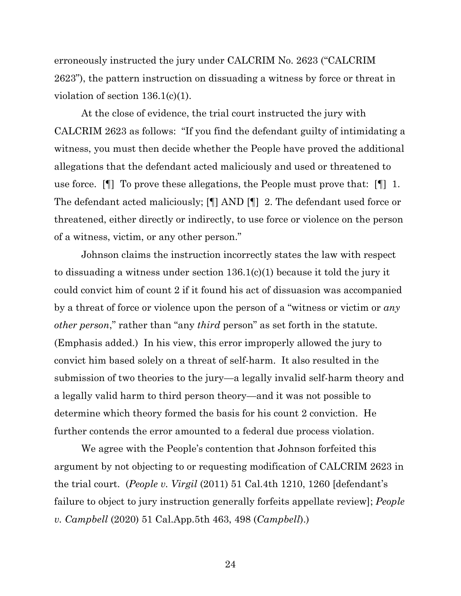erroneously instructed the jury under CALCRIM No. 2623 ("CALCRIM 2623"), the pattern instruction on dissuading a witness by force or threat in violation of section 136.1(c)(1).

At the close of evidence, the trial court instructed the jury with CALCRIM 2623 as follows: "If you find the defendant guilty of intimidating a witness, you must then decide whether the People have proved the additional allegations that the defendant acted maliciously and used or threatened to use force. [¶] To prove these allegations, the People must prove that: [¶] 1. The defendant acted maliciously; [¶] AND [¶] 2. The defendant used force or threatened, either directly or indirectly, to use force or violence on the person of a witness, victim, or any other person."

Johnson claims the instruction incorrectly states the law with respect to dissuading a witness under section 136.1(c)(1) because it told the jury it could convict him of count 2 if it found his act of dissuasion was accompanied by a threat of force or violence upon the person of a "witness or victim or *any other person*," rather than "any *third* person" as set forth in the statute. (Emphasis added.) In his view, this error improperly allowed the jury to convict him based solely on a threat of self-harm. It also resulted in the submission of two theories to the jury—a legally invalid self-harm theory and a legally valid harm to third person theory—and it was not possible to determine which theory formed the basis for his count 2 conviction. He further contends the error amounted to a federal due process violation.

We agree with the People's contention that Johnson forfeited this argument by not objecting to or requesting modification of CALCRIM 2623 in the trial court. (*People v. Virgil* (2011) 51 Cal.4th 1210, 1260 [defendant's failure to object to jury instruction generally forfeits appellate review]; *People v. Campbell* (2020) 51 Cal.App.5th 463, 498 (*Campbell*).)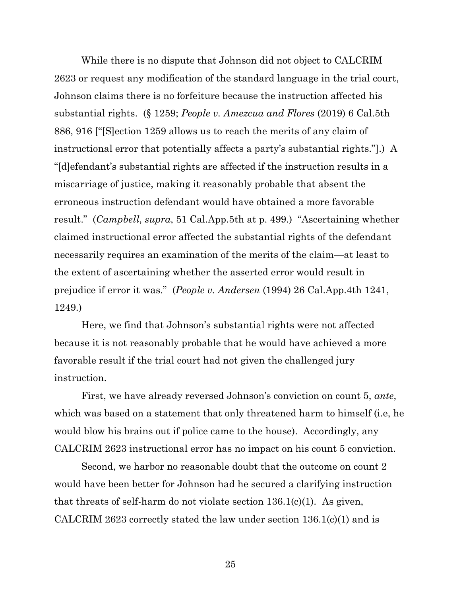While there is no dispute that Johnson did not object to CALCRIM 2623 or request any modification of the standard language in the trial court, Johnson claims there is no forfeiture because the instruction affected his substantial rights. (§ 1259; *People v. Amezcua and Flores* (2019) 6 Cal.5th 886, 916 ["[S]ection 1259 allows us to reach the merits of any claim of instructional error that potentially affects a party's substantial rights."].) A "[d]efendant's substantial rights are affected if the instruction results in a miscarriage of justice, making it reasonably probable that absent the erroneous instruction defendant would have obtained a more favorable result." (*Campbell*, *supra*, 51 Cal.App.5th at p. 499.) "Ascertaining whether claimed instructional error affected the substantial rights of the defendant necessarily requires an examination of the merits of the claim—at least to the extent of ascertaining whether the asserted error would result in prejudice if error it was." (*People v. Andersen* (1994) 26 Cal.App.4th 1241, 1249.)

Here, we find that Johnson's substantial rights were not affected because it is not reasonably probable that he would have achieved a more favorable result if the trial court had not given the challenged jury instruction.

First, we have already reversed Johnson's conviction on count 5, *ante*, which was based on a statement that only threatened harm to himself (i.e, he would blow his brains out if police came to the house). Accordingly, any CALCRIM 2623 instructional error has no impact on his count 5 conviction.

Second, we harbor no reasonable doubt that the outcome on count 2 would have been better for Johnson had he secured a clarifying instruction that threats of self-harm do not violate section  $136.1(c)(1)$ . As given, CALCRIM 2623 correctly stated the law under section 136.1(c)(1) and is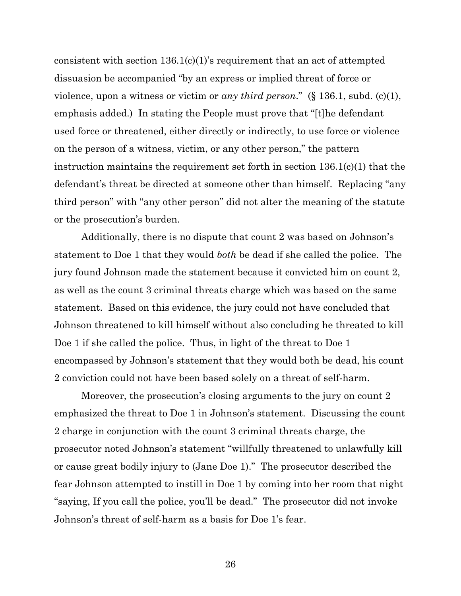consistent with section  $136.1(c)(1)$ 's requirement that an act of attempted dissuasion be accompanied "by an express or implied threat of force or violence, upon a witness or victim or *any third person*." (§ 136.1, subd. (c)(1), emphasis added.) In stating the People must prove that "[t]he defendant used force or threatened, either directly or indirectly, to use force or violence on the person of a witness, victim, or any other person," the pattern instruction maintains the requirement set forth in section 136.1(c)(1) that the defendant's threat be directed at someone other than himself. Replacing "any third person" with "any other person" did not alter the meaning of the statute or the prosecution's burden.

Additionally, there is no dispute that count 2 was based on Johnson's statement to Doe 1 that they would *both* be dead if she called the police. The jury found Johnson made the statement because it convicted him on count 2, as well as the count 3 criminal threats charge which was based on the same statement. Based on this evidence, the jury could not have concluded that Johnson threatened to kill himself without also concluding he threated to kill Doe 1 if she called the police. Thus, in light of the threat to Doe 1 encompassed by Johnson's statement that they would both be dead, his count 2 conviction could not have been based solely on a threat of self-harm.

Moreover, the prosecution's closing arguments to the jury on count 2 emphasized the threat to Doe 1 in Johnson's statement. Discussing the count 2 charge in conjunction with the count 3 criminal threats charge, the prosecutor noted Johnson's statement "willfully threatened to unlawfully kill or cause great bodily injury to (Jane Doe 1)." The prosecutor described the fear Johnson attempted to instill in Doe 1 by coming into her room that night "saying, If you call the police, you'll be dead." The prosecutor did not invoke Johnson's threat of self-harm as a basis for Doe 1's fear.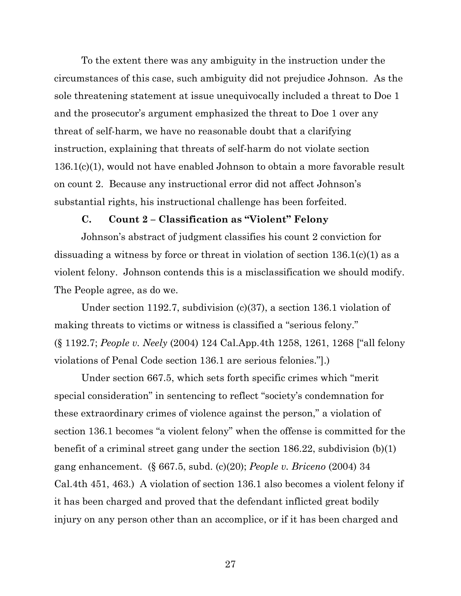To the extent there was any ambiguity in the instruction under the circumstances of this case, such ambiguity did not prejudice Johnson. As the sole threatening statement at issue unequivocally included a threat to Doe 1 and the prosecutor's argument emphasized the threat to Doe 1 over any threat of self-harm, we have no reasonable doubt that a clarifying instruction, explaining that threats of self-harm do not violate section 136.1(c)(1), would not have enabled Johnson to obtain a more favorable result on count 2. Because any instructional error did not affect Johnson's substantial rights, his instructional challenge has been forfeited.

## **C. Count 2 – Classification as "Violent" Felony**

Johnson's abstract of judgment classifies his count 2 conviction for dissuading a witness by force or threat in violation of section 136.1(c)(1) as a violent felony. Johnson contends this is a misclassification we should modify. The People agree, as do we.

Under section 1192.7, subdivision (c)(37), a section 136.1 violation of making threats to victims or witness is classified a "serious felony." (§ 1192.7; *People v. Neely* (2004) 124 Cal.App.4th 1258, 1261, 1268 ["all felony violations of Penal Code section 136.1 are serious felonies."].)

Under section 667.5, which sets forth specific crimes which "merit special consideration" in sentencing to reflect "society's condemnation for these extraordinary crimes of violence against the person," a violation of section 136.1 becomes "a violent felony" when the offense is committed for the benefit of a criminal street gang under the section 186.22, subdivision (b)(1) gang enhancement. (§ 667.5, subd. (c)(20); *People v. Briceno* (2004) 34 Cal.4th 451, 463.) A violation of section 136.1 also becomes a violent felony if it has been charged and proved that the defendant inflicted great bodily injury on any person other than an accomplice, or if it has been charged and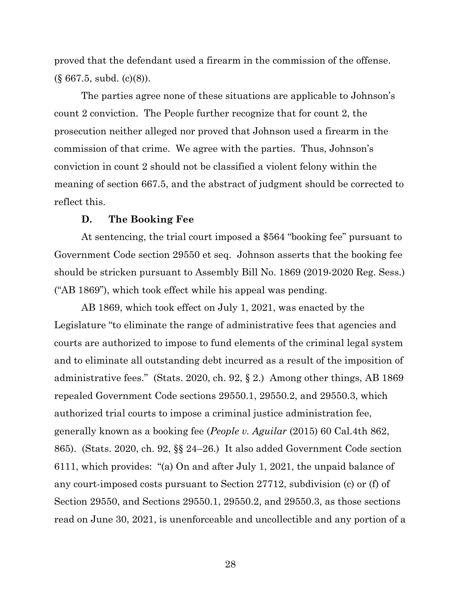proved that the defendant used a firearm in the commission of the offense.  $(\S 667.5, \text{subd. (c)}(8)).$ 

The parties agree none of these situations are applicable to Johnson's count 2 conviction. The People further recognize that for count 2, the prosecution neither alleged nor proved that Johnson used a firearm in the commission of that crime. We agree with the parties. Thus, Johnson's conviction in count 2 should not be classified a violent felony within the meaning of section 667.5, and the abstract of judgment should be corrected to reflect this.

## **D. The Booking Fee**

At sentencing, the trial court imposed a \$564 "booking fee" pursuant to Government Code section 29550 et seq. Johnson asserts that the booking fee should be stricken pursuant to Assembly Bill No. 1869 (2019-2020 Reg. Sess.) ("AB 1869"), which took effect while his appeal was pending.

AB 1869, which took effect on July 1, 2021, was enacted by the Legislature "to eliminate the range of administrative fees that agencies and courts are authorized to impose to fund elements of the criminal legal system and to eliminate all outstanding debt incurred as a result of the imposition of administrative fees." (Stats. 2020, ch. 92, § 2.) Among other things, AB 1869 repealed Government Code sections 29550.1, 29550.2, and 29550.3, which authorized trial courts to impose a criminal justice administration fee, generally known as a booking fee (*People v. Aguilar* (2015) 60 Cal.4th 862, 865). (Stats. 2020, ch. 92, §§ 24–26.) It also added Government Code section 6111, which provides: "(a) On and after July 1, 2021, the unpaid balance of any court-imposed costs pursuant to Section 27712, subdivision (c) or (f) of Section 29550, and Sections 29550.1, 29550.2, and 29550.3, as those sections read on June 30, 2021, is unenforceable and uncollectible and any portion of a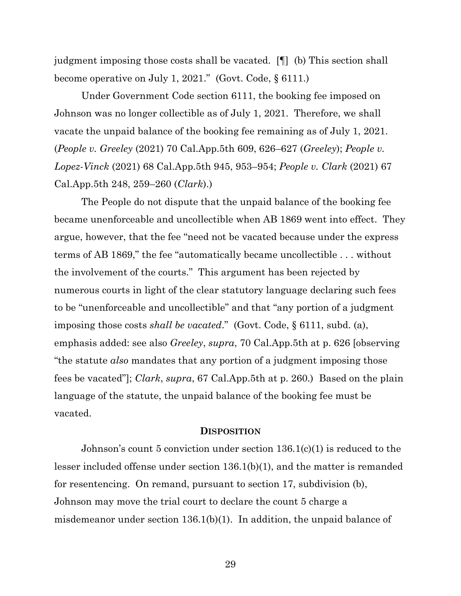judgment imposing those costs shall be vacated. [¶] (b) This section shall become operative on July 1, 2021." (Govt. Code, § 6111.)

Under Government Code section 6111, the booking fee imposed on Johnson was no longer collectible as of July 1, 2021. Therefore, we shall vacate the unpaid balance of the booking fee remaining as of July 1, 2021. (*People v. Greeley* (2021) 70 Cal.App.5th 609, 626–627 (*Greeley*); *People v. Lopez-Vinck* (2021) 68 Cal.App.5th 945, 953–954; *People v. Clark* (2021) 67 Cal.App.5th 248, 259–260 (*Clark*).)

The People do not dispute that the unpaid balance of the booking fee became unenforceable and uncollectible when AB 1869 went into effect. They argue, however, that the fee "need not be vacated because under the express terms of AB 1869," the fee "automatically became uncollectible . . . without the involvement of the courts." This argument has been rejected by numerous courts in light of the clear statutory language declaring such fees to be "unenforceable and uncollectible" and that "any portion of a judgment imposing those costs *shall be vacated*." (Govt. Code, § 6111, subd. (a), emphasis added: see also *Greeley*, *supra*, 70 Cal.App.5th at p. 626 [observing "the statute *also* mandates that any portion of a judgment imposing those fees be vacated"]; *Clark*, *supra*, 67 Cal.App.5th at p. 260.) Based on the plain language of the statute, the unpaid balance of the booking fee must be vacated.

#### **DISPOSITION**

Johnson's count 5 conviction under section 136.1(c)(1) is reduced to the lesser included offense under section 136.1(b)(1), and the matter is remanded for resentencing. On remand, pursuant to section 17, subdivision (b), Johnson may move the trial court to declare the count 5 charge a misdemeanor under section 136.1(b)(1). In addition, the unpaid balance of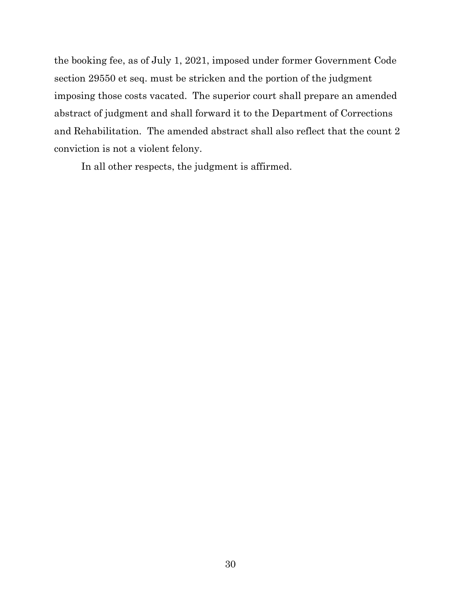the booking fee, as of July 1, 2021, imposed under former Government Code section 29550 et seq. must be stricken and the portion of the judgment imposing those costs vacated. The superior court shall prepare an amended abstract of judgment and shall forward it to the Department of Corrections and Rehabilitation. The amended abstract shall also reflect that the count 2 conviction is not a violent felony.

In all other respects, the judgment is affirmed.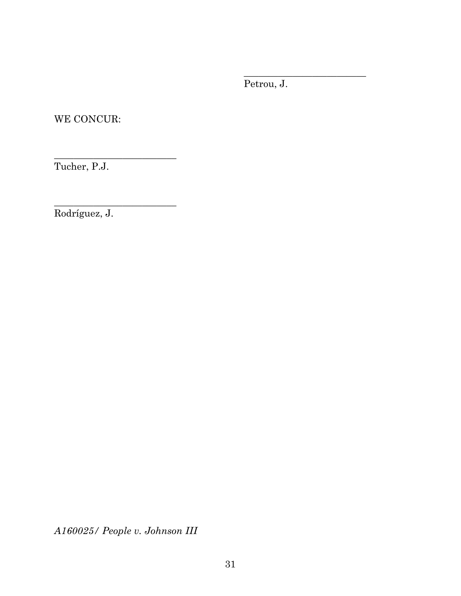Petrou, J.

\_\_\_\_\_\_\_\_\_\_\_\_\_\_\_\_\_\_\_\_\_\_\_\_\_

WE CONCUR:

\_\_\_\_\_\_\_\_\_\_\_\_\_\_\_\_\_\_\_\_\_\_\_\_\_

\_\_\_\_\_\_\_\_\_\_\_\_\_\_\_\_\_\_\_\_\_\_\_\_\_

Tucher, P.J.

Rodríguez, J.

*A160025/ People v. Johnson III*